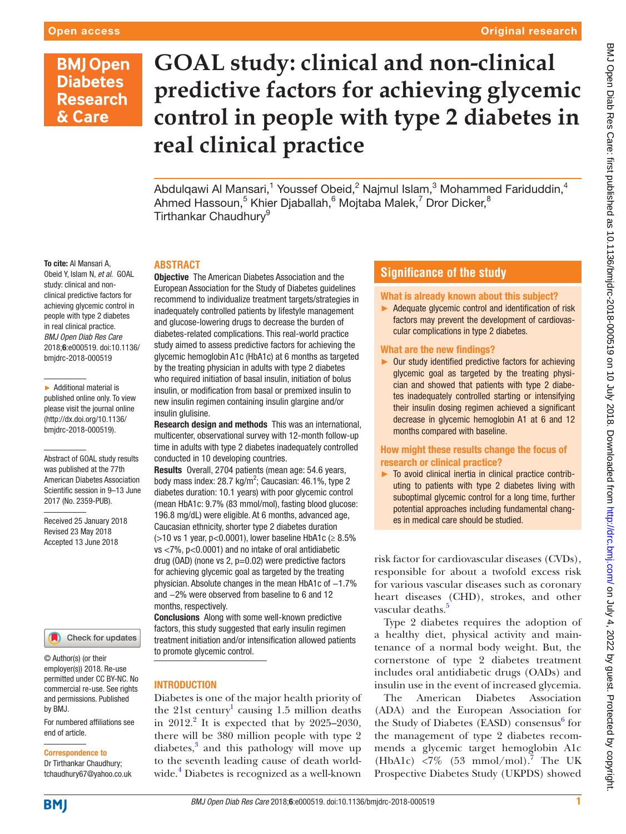To cite: Al Mansari A, Obeid Y, Islam N, *et al*. GOAL study: clinical and nonclinical predictive factors for achieving glycemic control in people with type 2 diabetes in real clinical practice. *BMJ Open Diab Res Care* 2018;6:e000519. doi:10.1136/ bmjdrc-2018-000519

► Additional material is published online only. To view please visit the journal online ([http://dx.doi.org/10.1136/](http://dx.doi.org/10.1136/bmjdrc-2018-000519) [bmjdrc-2018-000519\)](http://dx.doi.org/10.1136/bmjdrc-2018-000519).

Abstract of GOAL study results was published at the 77th American Diabetes Association Scientific session in 9–13 June 2017 (No. 2359-PUB).

Received 25 January 2018 Revised 23 May 2018 Accepted 13 June 2018

# **BMJ Open Diabetes Research** & Care

# **GOAL study: clinical and non-clinical predictive factors for achieving glycemic control in people with type 2 diabetes in real clinical practice** Original research

Abdulqawi Al Mansari,<sup>1</sup> Youssef Obeid,<sup>2</sup> Najmul Islam,<sup>3</sup> Mohammed Fariduddin,<sup>4</sup> Ahmed Hassoun,<sup>5</sup> Khier Djaballah,<sup>6</sup> Mojtaba Malek,<sup>7</sup> Dror Dicker,<sup>8</sup> Tirthankar Chaudhury<sup>9</sup>

#### **Abstract**

**Objective** The American Diabetes Association and the European Association for the Study of Diabetes guidelines recommend to individualize treatment targets/strategies in inadequately controlled patients by lifestyle management and glucose-lowering drugs to decrease the burden of diabetes-related complications. This real-world practice study aimed to assess predictive factors for achieving the glycemic hemoglobin A1c (HbA1c) at 6 months as targeted by the treating physician in adults with type 2 diabetes who required initiation of basal insulin, initiation of bolus insulin, or modification from basal or premixed insulin to new insulin regimen containing insulin glargine and/or insulin glulisine.

Research design and methods This was an international, multicenter, observational survey with 12-month follow-up time in adults with type 2 diabetes inadequately controlled conducted in 10 developing countries.

Results Overall, 2704 patients (mean age: 54.6 years, body mass index: 28.7 kg/m<sup>2</sup>; Caucasian: 46.1%, type 2 diabetes duration: 10.1 years) with poor glycemic control (mean HbA1c: 9.7% (83 mmol/mol), fasting blood glucose: 196.8 mg/dL) were eligible. At 6 months, advanced age, Caucasian ethnicity, shorter type 2 diabetes duration ( $>10$  vs 1 year, p<0.0001), lower baseline HbA1c ( $\geq 8.5\%$ vs <7%, p<0.0001) and no intake of oral antidiabetic drug (OAD) (none vs  $2$ ,  $p=0.02$ ) were predictive factors for achieving glycemic goal as targeted by the treating physician. Absolute changes in the mean HbA1c of −1.7% and −2% were observed from baseline to 6 and 12 months, respectively.

Conclusions Along with some well-known predictive factors, this study suggested that early insulin regimen treatment initiation and/or intensification allowed patients to promote glycemic control.

#### **INTRODUCTION**

Diabetes is one of the major health priority of the  $21$  $21$ st century<sup>1</sup> causing 1.5 million deaths in  $2012<sup>2</sup>$  $2012<sup>2</sup>$  It is expected that by  $2025-2030$ , there will be 380 million people with type 2 diabetes,<sup>[3](#page-9-2)</sup> and this pathology will move up to the seventh leading cause of death worldwide.[4](#page-9-3) Diabetes is recognized as a well-known

# **Significance of the study**

#### What is already known about this subject?

► Adequate glycemic control and identification of risk factors may prevent the development of cardiovascular complications in type 2 diabetes.

#### What are the new findings?

► Our study identified predictive factors for achieving glycemic goal as targeted by the treating physician and showed that patients with type 2 diabetes inadequately controlled starting or intensifying their insulin dosing regimen achieved a significant decrease in glycemic hemoglobin A1 at 6 and 12 months compared with baseline.

#### How might these results change the focus of research or clinical practice?

► To avoid clinical inertia in clinical practice contributing to patients with type 2 diabetes living with suboptimal glycemic control for a long time, further potential approaches including fundamental changes in medical care should be studied.

risk factor for cardiovascular diseases (CVDs), responsible for about a twofold excess risk for various vascular diseases such as coronary heart diseases (CHD), strokes, and other vascular deaths.<sup>5</sup>

Type 2 diabetes requires the adoption of a healthy diet, physical activity and maintenance of a normal body weight. But, the cornerstone of type 2 diabetes treatment includes oral antidiabetic drugs (OADs) and insulin use in the event of increased glycemia.

The American Diabetes Association (ADA) and the European Association for the Study of Diabetes (EASD) consensus<sup>[6](#page-9-5)</sup> for the management of type 2 diabetes recommends a glycemic target hemoglobin A1c (HbA1c)  $\langle 7\%$  $\langle 7\%$  $\langle 7\%$  (53 mmol/mol).<sup>7</sup> The UK Prospective Diabetes Study (UKPDS) showed

# permitted under CC BY-NC. No

© Author(s) (or their employer(s)) 2018. Re-use

For numbered affiliations see commercial re-use. See rights and permissions. Published by BMJ.

Check for updates

end of article.

#### Correspondence to

Dr Tirthankar Chaudhury; tchaudhury67@yahoo.co.uk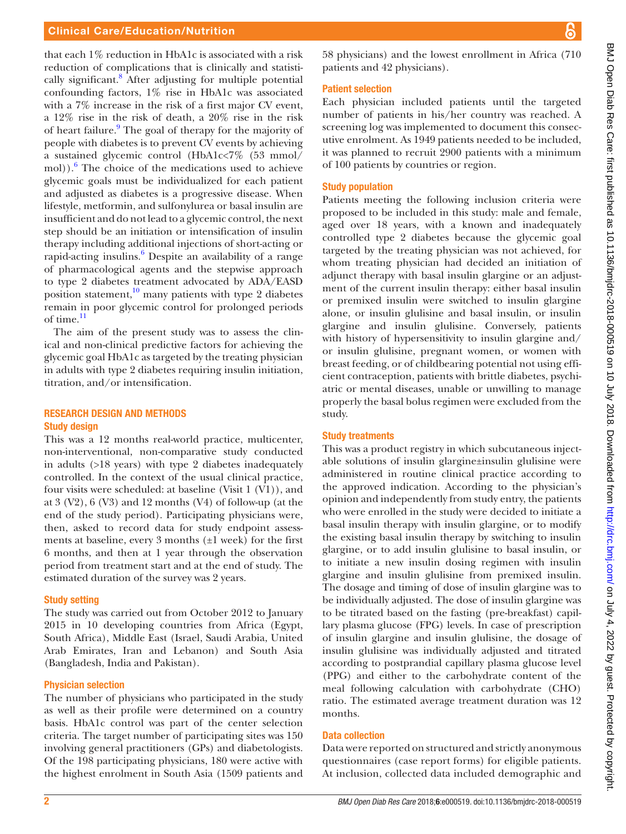#### Clinical Care/Education/Nutrition

that each 1% reduction in HbA1c is associated with a risk reduction of complications that is clinically and statistically significant.<sup>8</sup> After adjusting for multiple potential confounding factors, 1% rise in HbA1c was associated with a 7% increase in the risk of a first major CV event, a 12% rise in the risk of death, a 20% rise in the risk of heart failure.<sup>[9](#page-9-8)</sup> The goal of therapy for the majority of people with diabetes is to prevent CV events by achieving a sustained glycemic control (HbA1c<7% (53 mmol/ mol)).<sup>[6](#page-9-5)</sup> The choice of the medications used to achieve glycemic goals must be individualized for each patient and adjusted as diabetes is a progressive disease. When lifestyle, metformin, and sulfonylurea or basal insulin are insufficient and do not lead to a glycemic control, the next step should be an initiation or intensification of insulin therapy including additional injections of short-acting or rapid-acting insulins.<sup>[6](#page-9-5)</sup> Despite an availability of a range of pharmacological agents and the stepwise approach to type 2 diabetes treatment advocated by ADA/EASD position statement,[10](#page-9-9) many patients with type 2 diabetes remain in poor glycemic control for prolonged periods of time.<sup>[11](#page-9-10)</sup>

The aim of the present study was to assess the clinical and non-clinical predictive factors for achieving the glycemic goal HbA1c as targeted by the treating physician in adults with type 2 diabetes requiring insulin initiation, titration, and/or intensification.

#### Research design and methods Study design

This was a 12 months real-world practice, multicenter, non-interventional, non-comparative study conducted in adults (>18 years) with type 2 diabetes inadequately controlled. In the context of the usual clinical practice, four visits were scheduled: at baseline (Visit 1 (V1)), and at 3 (V2), 6 (V3) and 12 months (V4) of follow-up (at the end of the study period). Participating physicians were, then, asked to record data for study endpoint assessments at baseline, every 3 months (±1 week) for the first 6 months, and then at 1 year through the observation period from treatment start and at the end of study. The estimated duration of the survey was 2 years.

#### Study setting

The study was carried out from October 2012 to January 2015 in 10 developing countries from Africa (Egypt, South Africa), Middle East (Israel, Saudi Arabia, United Arab Emirates, Iran and Lebanon) and South Asia (Bangladesh, India and Pakistan).

#### Physician selection

The number of physicians who participated in the study as well as their profile were determined on a country basis. HbA1c control was part of the center selection criteria. The target number of participating sites was 150 involving general practitioners (GPs) and diabetologists. Of the 198 participating physicians, 180 were active with the highest enrolment in South Asia (1509 patients and

58 physicians) and the lowest enrollment in Africa (710 patients and 42 physicians).

# Patient selection

Each physician included patients until the targeted number of patients in his/her country was reached. A screening log was implemented to document this consecutive enrolment. As 1949 patients needed to be included, it was planned to recruit 2900 patients with a minimum of 100 patients by countries or region.

# Study population

Patients meeting the following inclusion criteria were proposed to be included in this study: male and female, aged over 18 years, with a known and inadequately controlled type 2 diabetes because the glycemic goal targeted by the treating physician was not achieved, for whom treating physician had decided an initiation of adjunct therapy with basal insulin glargine or an adjustment of the current insulin therapy: either basal insulin or premixed insulin were switched to insulin glargine alone, or insulin glulisine and basal insulin, or insulin glargine and insulin glulisine. Conversely, patients with history of hypersensitivity to insulin glargine and/ or insulin glulisine, pregnant women, or women with breast feeding, or of childbearing potential not using efficient contraception, patients with brittle diabetes, psychiatric or mental diseases, unable or unwilling to manage properly the basal bolus regimen were excluded from the study.

#### Study treatments

This was a product registry in which subcutaneous injectable solutions of insulin glargine±insulin glulisine were administered in routine clinical practice according to the approved indication. According to the physician's opinion and independently from study entry, the patients who were enrolled in the study were decided to initiate a basal insulin therapy with insulin glargine, or to modify the existing basal insulin therapy by switching to insulin glargine, or to add insulin glulisine to basal insulin, or to initiate a new insulin dosing regimen with insulin glargine and insulin glulisine from premixed insulin. The dosage and timing of dose of insulin glargine was to be individually adjusted. The dose of insulin glargine was to be titrated based on the fasting (pre-breakfast) capillary plasma glucose (FPG) levels. In case of prescription of insulin glargine and insulin glulisine, the dosage of insulin glulisine was individually adjusted and titrated according to postprandial capillary plasma glucose level (PPG) and either to the carbohydrate content of the meal following calculation with carbohydrate (CHO) ratio. The estimated average treatment duration was 12 months.

#### Data collection

Data were reported on structured and strictly anonymous questionnaires (case report forms) for eligible patients. At inclusion, collected data included demographic and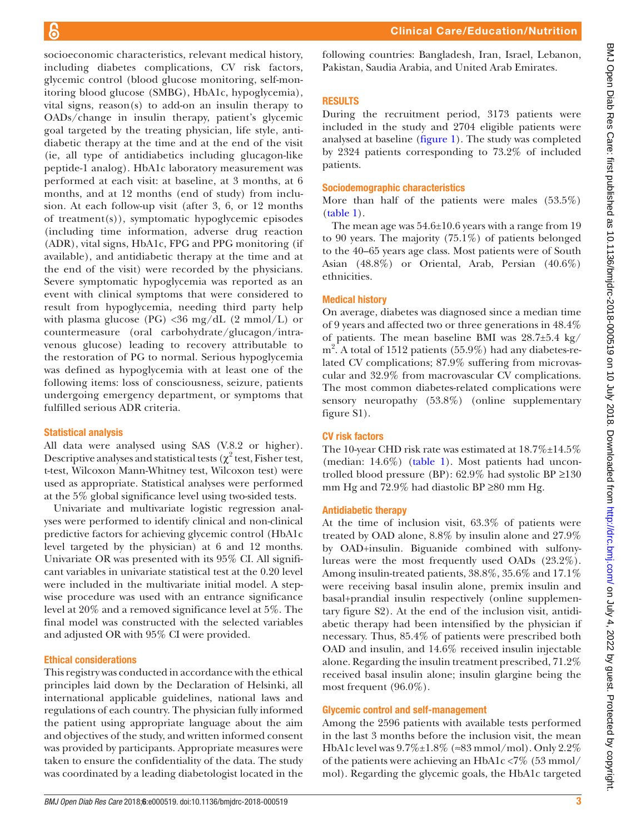socioeconomic characteristics, relevant medical history, including diabetes complications, CV risk factors, glycemic control (blood glucose monitoring, self-monitoring blood glucose (SMBG), HbA1c, hypoglycemia), vital signs, reason(s) to add-on an insulin therapy to OADs/change in insulin therapy, patient's glycemic goal targeted by the treating physician, life style, antidiabetic therapy at the time and at the end of the visit (ie, all type of antidiabetics including glucagon-like peptide-1 analog). HbA1c laboratory measurement was performed at each visit: at baseline, at 3 months, at 6 months, and at 12 months (end of study) from inclusion. At each follow-up visit (after 3, 6, or 12 months of treatment(s)), symptomatic hypoglycemic episodes (including time information, adverse drug reaction (ADR), vital signs, HbA1c, FPG and PPG monitoring (if available), and antidiabetic therapy at the time and at the end of the visit) were recorded by the physicians. Severe symptomatic hypoglycemia was reported as an event with clinical symptoms that were considered to result from hypoglycemia, needing third party help with plasma glucose (PG) <36 mg/dL (2 mmol/L) or countermeasure (oral carbohydrate/glucagon/intravenous glucose) leading to recovery attributable to the restoration of PG to normal. Serious hypoglycemia was defined as hypoglycemia with at least one of the following items: loss of consciousness, seizure, patients undergoing emergency department, or symptoms that fulfilled serious ADR criteria.

#### Statistical analysis

All data were analysed using SAS (V.8.2 or higher). Descriptive analyses and statistical tests ( $\chi^2$  test, Fisher test, t-test, Wilcoxon Mann-Whitney test, Wilcoxon test) were used as appropriate. Statistical analyses were performed at the 5% global significance level using two-sided tests.

Univariate and multivariate logistic regression analyses were performed to identify clinical and non-clinical predictive factors for achieving glycemic control (HbA1c level targeted by the physician) at 6 and 12 months. Univariate OR was presented with its 95% CI. All significant variables in univariate statistical test at the 0.20 level were included in the multivariate initial model. A stepwise procedure was used with an entrance significance level at 20% and a removed significance level at 5%. The final model was constructed with the selected variables and adjusted OR with 95% CI were provided.

# Ethical considerations

This registry was conducted in accordance with the ethical principles laid down by the Declaration of Helsinki, all international applicable guidelines, national laws and regulations of each country. The physician fully informed the patient using appropriate language about the aim and objectives of the study, and written informed consent was provided by participants. Appropriate measures were taken to ensure the confidentiality of the data. The study was coordinated by a leading diabetologist located in the

following countries: Bangladesh, Iran, Israel, Lebanon, Pakistan, Saudia Arabia, and United Arab Emirates.

# **RESULTS**

During the recruitment period, 3173 patients were included in the study and 2704 eligible patients were analysed at baseline [\(figure](#page-3-0) 1). The study was completed by 2324 patients corresponding to 73.2% of included patients.

# Sociodemographic characteristics

More than half of the patients were males (53.5%) [\(table](#page-4-0) 1).

The mean age was 54.6±10.6 years with a range from 19 to 90 years. The majority (75.1%) of patients belonged to the 40–65 years age class. Most patients were of South Asian (48.8%) or Oriental, Arab, Persian (40.6%) ethnicities.

# Medical history

On average, diabetes was diagnosed since a median time of 9 years and affected two or three generations in 48.4% of patients. The mean baseline BMI was 28.7±5.4 kg/ m<sup>2</sup>. A total of 1512 patients (55.9%) had any diabetes-related CV complications; 87.9% suffering from microvascular and 32.9% from macrovascular CV complications. The most common diabetes-related complications were sensory neuropathy (53.8%) ([online supplementary](https://dx.doi.org/10.1136/bmjdrc-2018-000519) [figure S1\)](https://dx.doi.org/10.1136/bmjdrc-2018-000519).

# CV risk factors

The 10-year CHD risk rate was estimated at 18.7%±14.5% (median: 14.6%) ([table](#page-4-0) 1). Most patients had uncontrolled blood pressure (BP):  $62.9\%$  had systolic BP  $\geq 130$ mm Hg and 72.9% had diastolic BP ≥80 mm Hg.

# Antidiabetic therapy

At the time of inclusion visit, 63.3% of patients were treated by OAD alone, 8.8% by insulin alone and 27.9% by OAD+insulin. Biguanide combined with sulfonylureas were the most frequently used OADs (23.2%). Among insulin-treated patients, 38.8%, 35.6% and 17.1% were receiving basal insulin alone, premix insulin and basal+prandial insulin respectively [\(online supplemen](https://dx.doi.org/10.1136/bmjdrc-2018-000519)[tary figure S2\)](https://dx.doi.org/10.1136/bmjdrc-2018-000519). At the end of the inclusion visit, antidiabetic therapy had been intensified by the physician if necessary. Thus, 85.4% of patients were prescribed both OAD and insulin, and 14.6% received insulin injectable alone. Regarding the insulin treatment prescribed, 71.2% received basal insulin alone; insulin glargine being the most frequent (96.0%).

# Glycemic control and self-management

Among the 2596 patients with available tests performed in the last 3 months before the inclusion visit, the mean HbA1c level was 9.7%±1.8% (≈83 mmol/mol). Only 2.2% of the patients were achieving an HbA1c  $\langle 7\% \rangle$  (53 mmol/ mol). Regarding the glycemic goals, the HbA1c targeted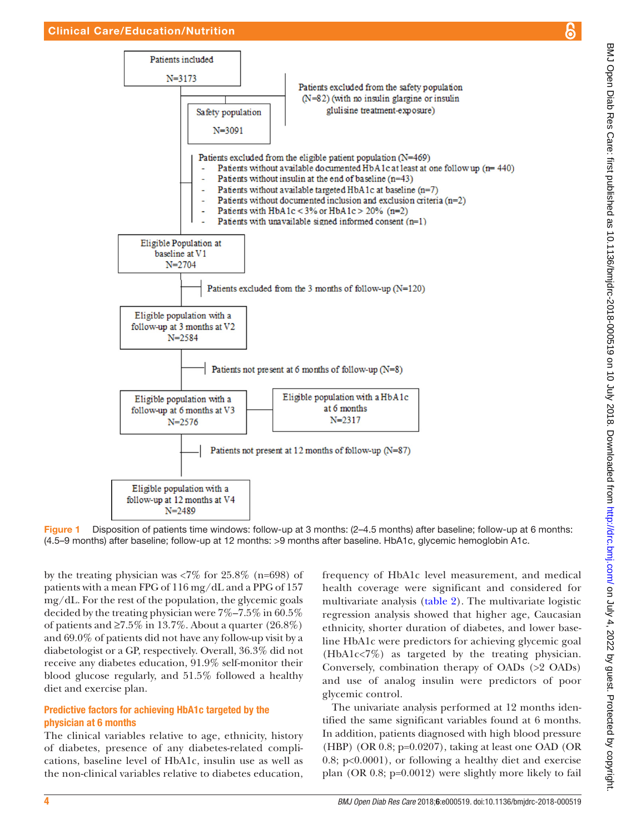

<span id="page-3-0"></span>Figure 1 Disposition of patients time windows: follow-up at 3 months: (2–4.5 months) after baseline; follow-up at 6 months: (4.5–9 months) after baseline; follow-up at 12 months: >9 months after baseline. HbA1c, glycemic hemoglobin A1c.

by the treating physician was  $\langle 7\%$  for 25.8% (n=698) of patients with a mean FPG of 116 mg/dL and a PPG of 157 mg/dL. For the rest of the population, the glycemic goals decided by the treating physician were 7%–7.5% in 60.5% of patients and  $\geq 7.5\%$  in 13.7%. About a quarter (26.8%) and 69.0% of patients did not have any follow-up visit by a diabetologist or a GP, respectively. Overall, 36.3% did not receive any diabetes education, 91.9% self-monitor their blood glucose regularly, and 51.5% followed a healthy diet and exercise plan.

#### Predictive factors for achieving HbA1c targeted by the physician at 6 months

The clinical variables relative to age, ethnicity, history of diabetes, presence of any diabetes-related complications, baseline level of HbA1c, insulin use as well as the non-clinical variables relative to diabetes education,

frequency of HbA1c level measurement, and medical health coverage were significant and considered for multivariate analysis [\(table](#page-5-0) 2). The multivariate logistic regression analysis showed that higher age, Caucasian ethnicity, shorter duration of diabetes, and lower baseline HbA1c were predictors for achieving glycemic goal (HbA1c<7%) as targeted by the treating physician. Conversely, combination therapy of OADs (>2 OADs) and use of analog insulin were predictors of poor glycemic control.

The univariate analysis performed at 12 months identified the same significant variables found at 6 months. In addition, patients diagnosed with high blood pressure (HBP) (OR 0.8;  $p=0.0207$ ), taking at least one OAD (OR 0.8; p<0.0001), or following a healthy diet and exercise plan (OR 0.8; p=0.0012) were slightly more likely to fail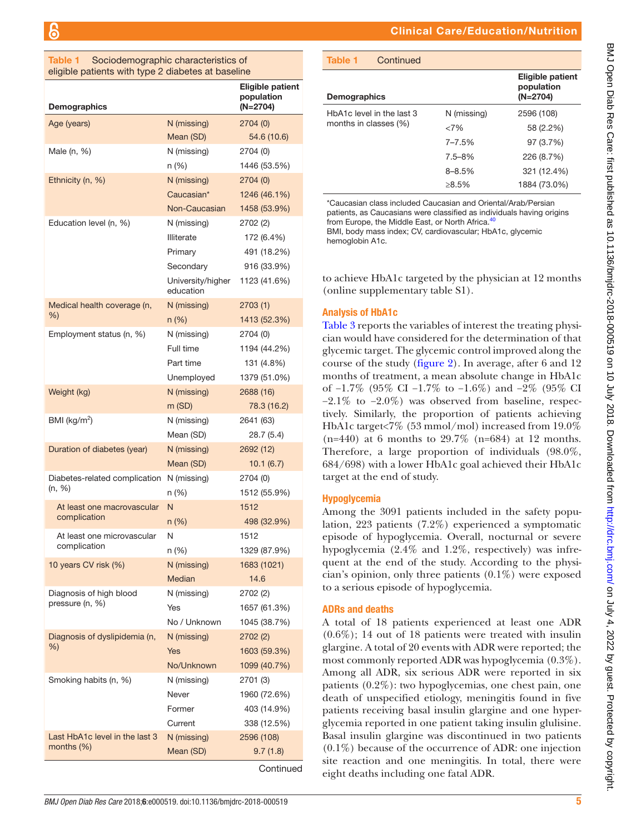<span id="page-4-0"></span>

|  | Table 1<br>Sociodemographic characteristics of<br>eligible patients with type 2 diabetes at baseline |                                |                                                     |  |  |
|--|------------------------------------------------------------------------------------------------------|--------------------------------|-----------------------------------------------------|--|--|
|  | Demographics                                                                                         |                                | <b>Eligible patient</b><br>population<br>$(N=2704)$ |  |  |
|  | Age (years)                                                                                          | N (missing)                    | 2704(0)                                             |  |  |
|  |                                                                                                      | Mean (SD)                      | 54.6 (10.6)                                         |  |  |
|  | Male (n, %)                                                                                          | N (missing)                    | 2704 (0)                                            |  |  |
|  |                                                                                                      | n (%)                          | 1446 (53.5%)                                        |  |  |
|  | Ethnicity (n, %)                                                                                     | N (missing)                    | 2704 (0)                                            |  |  |
|  |                                                                                                      | Caucasian*                     | 1246 (46.1%)                                        |  |  |
|  |                                                                                                      | Non-Caucasian                  | 1458 (53.9%)                                        |  |  |
|  | Education level (n, %)                                                                               | N (missing)                    | 2702 (2)                                            |  |  |
|  |                                                                                                      | Illiterate                     | 172 (6.4%)                                          |  |  |
|  |                                                                                                      | Primary                        | 491 (18.2%)                                         |  |  |
|  |                                                                                                      | Secondary                      | 916 (33.9%)                                         |  |  |
|  |                                                                                                      | University/higher<br>education | 1123 (41.6%)                                        |  |  |
|  | Medical health coverage (n,                                                                          | N (missing)                    | 2703(1)                                             |  |  |
|  | $\%$                                                                                                 | $\sqrt{2}$                     | $1.181 = 0.011$                                     |  |  |

| Medical health coverage (n,    | N (missing)  | 2703(1)      |
|--------------------------------|--------------|--------------|
| %)                             | n (%)        | 1413 (52.3%) |
| Employment status (n, %)       | N (missing)  | 2704 (0)     |
|                                | Full time    | 1194 (44.2%) |
|                                | Part time    | 131 (4.8%)   |
|                                | Unemployed   | 1379 (51.0%) |
| Weight (kg)                    | N (missing)  | 2688 (16)    |
|                                | m(SD)        | 78.3 (16.2)  |
| BMI (kg/m <sup>2</sup> )       | N (missing)  | 2641 (63)    |
|                                | Mean (SD)    | 28.7 (5.4)   |
| Duration of diabetes (year)    | N (missing)  | 2692 (12)    |
|                                | Mean (SD)    | 10.1(6.7)    |
| Diabetes-related complication  | N (missing)  | 2704 (0)     |
| (n, %)                         | n (%)        | 1512 (55.9%) |
| At least one macrovascular     | N            | 1512         |
| complication                   | $n (\%)$     | 498 (32.9%)  |
| At least one microvascular     | N            | 1512         |
| complication                   | n(%)         | 1329 (87.9%) |
| 10 years CV risk (%)           | N (missing)  | 1683 (1021)  |
|                                | Median       | 14.6         |
| Diagnosis of high blood        | N (missing)  | 2702 (2)     |
| pressure (n, %)                | Yes          | 1657 (61.3%) |
|                                | No / Unknown | 1045 (38.7%) |
| Diagnosis of dyslipidemia (n,  | N (missing)  | 2702(2)      |
| %)                             | <b>Yes</b>   | 1603 (59.3%) |
|                                | No/Unknown   | 1099 (40.7%) |
| Smoking habits (n, %)          | N (missing)  | 2701 (3)     |
|                                | Never        | 1960 (72.6%) |
|                                | Former       | 403 (14.9%)  |
|                                | Current      | 338 (12.5%)  |
| Last HbA1c level in the last 3 | N (missing)  | 2596 (108)   |

**Continued** 

Mean (SD) 9.7 (1.8)

months (%)

| <b>Table 1</b>                                     | Continued |             |                                                     |
|----------------------------------------------------|-----------|-------------|-----------------------------------------------------|
| Demographics                                       |           |             | <b>Eligible patient</b><br>population<br>$(N=2704)$ |
| HbA1c level in the last 3<br>months in classes (%) |           | N (missing) | 2596 (108)                                          |
|                                                    |           | ${<}7\%$    | 58 (2.2%)                                           |
|                                                    |           | $7 - 7.5%$  | 97 (3.7%)                                           |
|                                                    |           | $7.5 - 8\%$ | 226 (8.7%)                                          |
|                                                    |           | $8 - 8.5%$  | 321 (12.4%)                                         |
|                                                    |           | $>8.5\%$    | 1884 (73.0%)                                        |

\*Caucasian class included Caucasian and Oriental/Arab/Persian patients, as Caucasians were classified as individuals having origins from Europe, the Middle East, or North Africa.<sup>41</sup> BMI, body mass index; CV, cardiovascular; HbA1c, glycemic

hemoglobin A1c.

to achieve HbA1c targeted by the physician at 12 months [\(online supplementary table S1\)](https://dx.doi.org/10.1136/bmjdrc-2018-000519).

#### Analysis of HbA1c

[Table](#page-6-0) 3 reports the variables of interest the treating physician would have considered for the determination of that glycemic target. The glycemic control improved along the course of the study [\(figure](#page-7-0) 2). In average, after 6 and 12 months of treatment, a mean absolute change in HbA1c of −1.7% (95% CI −1.7% to −1.6%) and −2% (95% CI −2.1% to −2.0%) was observed from baseline, respectively. Similarly, the proportion of patients achieving HbA1c target<7% (53 mmol/mol) increased from 19.0%  $(n=440)$  at 6 months to 29.7%  $(n=684)$  at 12 months. Therefore, a large proportion of individuals (98.0%, 684/698) with a lower HbA1c goal achieved their HbA1c target at the end of study.

#### Hypoglycemia

Among the 3091 patients included in the safety population, 223 patients (7.2%) experienced a symptomatic episode of hypoglycemia. Overall, nocturnal or severe hypoglycemia (2.4% and 1.2%, respectively) was infrequent at the end of the study. According to the physician's opinion, only three patients  $(0.1\%)$  were exposed to a serious episode of hypoglycemia.

# ADRs and deaths

A total of 18 patients experienced at least one ADR  $(0.6\%)$ ; 14 out of 18 patients were treated with insulin glargine. A total of 20 events with ADR were reported; the most commonly reported ADR was hypoglycemia (0.3%). Among all ADR, six serious ADR were reported in six patients (0.2%): two hypoglycemias, one chest pain, one death of unspecified etiology, meningitis found in five patients receiving basal insulin glargine and one hyperglycemia reported in one patient taking insulin glulisine. Basal insulin glargine was discontinued in two patients (0.1%) because of the occurrence of ADR: one injection site reaction and one meningitis. In total, there were eight deaths including one fatal ADR.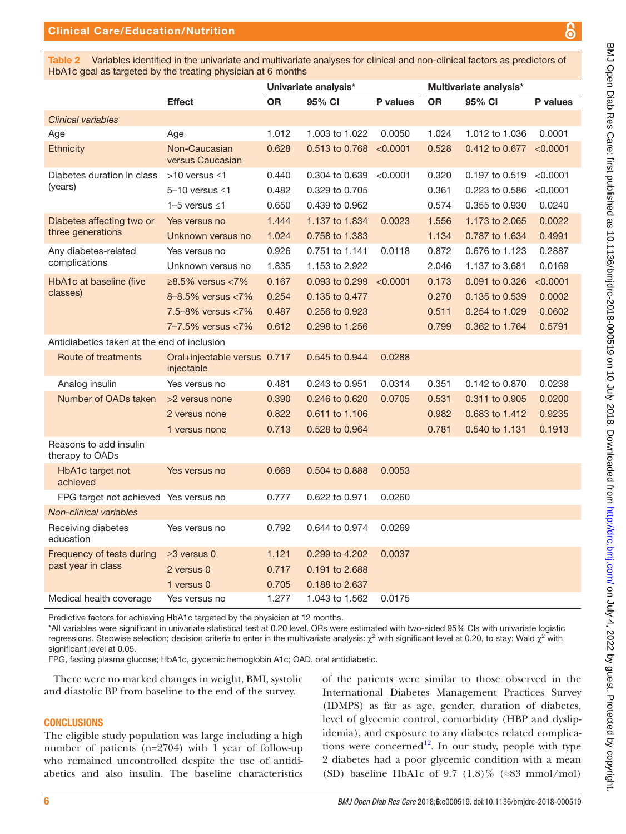<span id="page-5-0"></span>Table 2 Variables identified in the univariate and multivariate analyses for clinical and non-clinical factors as predictors of HbA1c goal as targeted by the treating physician at 6 months

|                                             |                                            | Univariate analysis* |                | Multivariate analysis* |           |                |          |
|---------------------------------------------|--------------------------------------------|----------------------|----------------|------------------------|-----------|----------------|----------|
|                                             | <b>Effect</b>                              | <b>OR</b>            | 95% CI         | P values               | <b>OR</b> | 95% CI         | P values |
| Clinical variables                          |                                            |                      |                |                        |           |                |          |
| Age                                         | Age                                        | 1.012                | 1.003 to 1.022 | 0.0050                 | 1.024     | 1.012 to 1.036 | 0.0001   |
| Ethnicity                                   | Non-Caucasian<br>versus Caucasian          | 0.628                | 0.513 to 0.768 | < 0.0001               | 0.528     | 0.412 to 0.677 | < 0.0001 |
| Diabetes duration in class                  | $>10$ versus $\leq 1$                      | 0.440                | 0.304 to 0.639 | < 0.0001               | 0.320     | 0.197 to 0.519 | < 0.0001 |
| (years)                                     | 5-10 versus ≤1                             | 0.482                | 0.329 to 0.705 |                        | 0.361     | 0.223 to 0.586 | < 0.0001 |
|                                             | 1-5 versus $\leq$ 1                        | 0.650                | 0.439 to 0.962 |                        | 0.574     | 0.355 to 0.930 | 0.0240   |
| Diabetes affecting two or                   | Yes versus no                              | 1.444                | 1.137 to 1.834 | 0.0023                 | 1.556     | 1.173 to 2.065 | 0.0022   |
| three generations                           | Unknown versus no                          | 1.024                | 0.758 to 1.383 |                        | 1.134     | 0.787 to 1.634 | 0.4991   |
| Any diabetes-related                        | Yes versus no                              | 0.926                | 0.751 to 1.141 | 0.0118                 | 0.872     | 0.676 to 1.123 | 0.2887   |
| complications                               | Unknown versus no                          | 1.835                | 1.153 to 2.922 |                        | 2.046     | 1.137 to 3.681 | 0.0169   |
| HbA1c at baseline (five                     | $\geq$ 8.5% versus <7%                     | 0.167                | 0.093 to 0.299 | < 0.0001               | 0.173     | 0.091 to 0.326 | < 0.0001 |
| classes)                                    | 8-8.5% versus <7%                          | 0.254                | 0.135 to 0.477 |                        | 0.270     | 0.135 to 0.539 | 0.0002   |
|                                             | 7.5-8% versus <7%                          | 0.487                | 0.256 to 0.923 |                        | 0.511     | 0.254 to 1.029 | 0.0602   |
|                                             | 7-7.5% versus <7%                          | 0.612                | 0.298 to 1.256 |                        | 0.799     | 0.362 to 1.764 | 0.5791   |
| Antidiabetics taken at the end of inclusion |                                            |                      |                |                        |           |                |          |
| Route of treatments                         | Oral+injectable versus 0.717<br>injectable |                      | 0.545 to 0.944 | 0.0288                 |           |                |          |
| Analog insulin                              | Yes versus no                              | 0.481                | 0.243 to 0.951 | 0.0314                 | 0.351     | 0.142 to 0.870 | 0.0238   |
| Number of OADs taken                        | >2 versus none                             | 0.390                | 0.246 to 0.620 | 0.0705                 | 0.531     | 0.311 to 0.905 | 0.0200   |
|                                             | 2 versus none                              | 0.822                | 0.611 to 1.106 |                        | 0.982     | 0.683 to 1.412 | 0.9235   |
|                                             | 1 versus none                              | 0.713                | 0.528 to 0.964 |                        | 0.781     | 0.540 to 1.131 | 0.1913   |
| Reasons to add insulin<br>therapy to OADs   |                                            |                      |                |                        |           |                |          |
| HbA1c target not<br>achieved                | Yes versus no                              | 0.669                | 0.504 to 0.888 | 0.0053                 |           |                |          |
| FPG target not achieved Yes versus no       |                                            | 0.777                | 0.622 to 0.971 | 0.0260                 |           |                |          |
| Non-clinical variables                      |                                            |                      |                |                        |           |                |          |
| Receiving diabetes<br>education             | Yes versus no                              | 0.792                | 0.644 to 0.974 | 0.0269                 |           |                |          |
| Frequency of tests during                   | $\geq$ 3 versus 0                          | 1.121                | 0.299 to 4.202 | 0.0037                 |           |                |          |
| past year in class                          | 2 versus 0                                 | 0.717                | 0.191 to 2.688 |                        |           |                |          |
|                                             | 1 versus 0                                 | 0.705                | 0.188 to 2.637 |                        |           |                |          |
| Medical health coverage                     | Yes versus no                              | 1.277                | 1.043 to 1.562 | 0.0175                 |           |                |          |

Predictive factors for achieving HbA1c targeted by the physician at 12 months.

\*All variables were significant in univariate statistical test at 0.20 level. ORs were estimated with two-sided 95% Cls with univariate logistic regressions. Stepwise selection; decision criteria to enter in the multivariate analysis:  $\chi^2$  with significant level at 0.20, to stay: Wald  $\chi^2$  with significant level at 0.05.

FPG, fasting plasma glucose; HbA1c, glycemic hemoglobin A1c; OAD, oral antidiabetic.

There were no marked changes in weight, BMI, systolic and diastolic BP from baseline to the end of the survey.

#### **CONCLUSIONS**

The eligible study population was large including a high number of patients (n=2704) with 1 year of follow-up who remained uncontrolled despite the use of antidiabetics and also insulin. The baseline characteristics

of the patients were similar to those observed in the International Diabetes Management Practices Survey (IDMPS) as far as age, gender, duration of diabetes, level of glycemic control, comorbidity (HBP and dyslipidemia), and exposure to any diabetes related complications were concerned<sup>12</sup>. In our study, people with type 2 diabetes had a poor glycemic condition with a mean (SD) baseline HbA1c of 9.7 (1.8)% ( $\approx 83$  mmol/mol)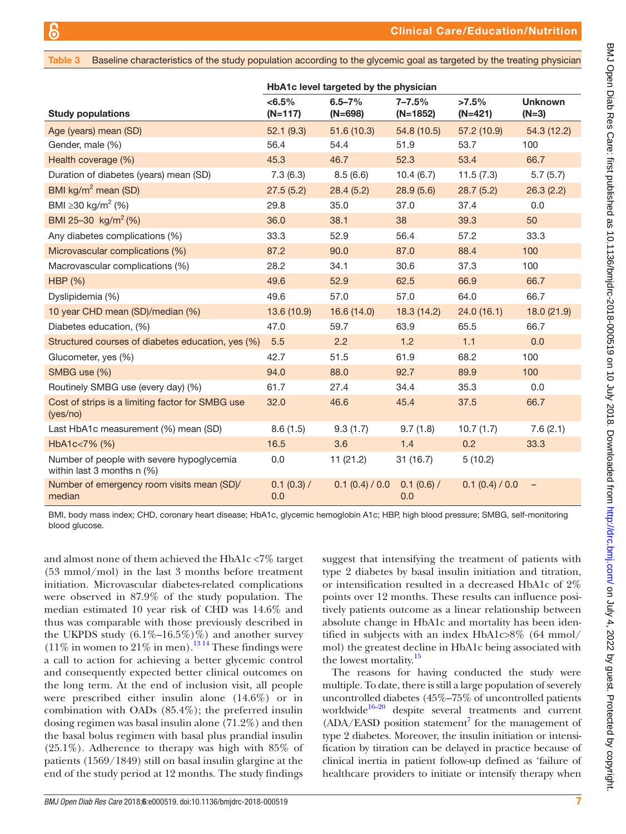#### <span id="page-6-0"></span>Table 3 Baseline characteristics of the study population according to the glycemic goal as targeted by the treating physician

|                                                                         | HbA1c level targeted by the physician |                         |                          |                       |                           |  |
|-------------------------------------------------------------------------|---------------------------------------|-------------------------|--------------------------|-----------------------|---------------------------|--|
| <b>Study populations</b>                                                | $< 6.5\%$<br>$(N=117)$                | $6.5 - 7%$<br>$(N=698)$ | $7 - 7.5%$<br>$(N=1852)$ | $>7.5\%$<br>$(N=421)$ | <b>Unknown</b><br>$(N=3)$ |  |
| Age (years) mean (SD)                                                   | 52.1(9.3)                             | 51.6(10.3)              | 54.8 (10.5)              | 57.2 (10.9)           | 54.3 (12.2)               |  |
| Gender, male (%)                                                        | 56.4                                  | 54.4                    | 51.9                     | 53.7                  | 100                       |  |
| Health coverage (%)                                                     | 45.3                                  | 46.7                    | 52.3                     | 53.4                  | 66.7                      |  |
| Duration of diabetes (years) mean (SD)                                  | 7.3(6.3)                              | 8.5(6.6)                | 10.4(6.7)                | 11.5(7.3)             | 5.7(5.7)                  |  |
| BMI $kg/m^2$ mean (SD)                                                  | 27.5(5.2)                             | 28.4(5.2)               | 28.9(5.6)                | 28.7(5.2)             | 26.3(2.2)                 |  |
| BMI ≥30 kg/m <sup>2</sup> (%)                                           | 29.8                                  | 35.0                    | 37.0                     | 37.4                  | 0.0                       |  |
| BMI 25-30 kg/m <sup>2</sup> (%)                                         | 36.0                                  | 38.1                    | 38                       | 39.3                  | 50                        |  |
| Any diabetes complications (%)                                          | 33.3                                  | 52.9                    | 56.4                     | 57.2                  | 33.3                      |  |
| Microvascular complications (%)                                         | 87.2                                  | 90.0                    | 87.0                     | 88.4                  | 100                       |  |
| Macrovascular complications (%)                                         | 28.2                                  | 34.1                    | 30.6                     | 37.3                  | 100                       |  |
| $HBP (\%)$                                                              | 49.6                                  | 52.9                    | 62.5                     | 66.9                  | 66.7                      |  |
| Dyslipidemia (%)                                                        | 49.6                                  | 57.0                    | 57.0                     | 64.0                  | 66.7                      |  |
| 10 year CHD mean (SD)/median (%)                                        | 13.6 (10.9)                           | 16.6(14.0)              | 18.3(14.2)               | 24.0(16.1)            | 18.0 (21.9)               |  |
| Diabetes education, (%)                                                 | 47.0                                  | 59.7                    | 63.9                     | 65.5                  | 66.7                      |  |
| Structured courses of diabetes education, yes (%)                       | 5.5                                   | 2.2                     | 1.2                      | 1.1                   | 0.0                       |  |
| Glucometer, yes (%)                                                     | 42.7                                  | 51.5                    | 61.9                     | 68.2                  | 100                       |  |
| SMBG use (%)                                                            | 94.0                                  | 88.0                    | 92.7                     | 89.9                  | 100                       |  |
| Routinely SMBG use (every day) (%)                                      | 61.7                                  | 27.4                    | 34.4                     | 35.3                  | 0.0                       |  |
| Cost of strips is a limiting factor for SMBG use<br>(yes/no)            | 32.0                                  | 46.6                    | 45.4                     | 37.5                  | 66.7                      |  |
| Last HbA1c measurement (%) mean (SD)                                    | 8.6(1.5)                              | 9.3(1.7)                | 9.7(1.8)                 | 10.7(1.7)             | 7.6(2.1)                  |  |
| HbA1c<7% (%)                                                            | 16.5                                  | 3.6                     | 1.4                      | 0.2                   | 33.3                      |  |
| Number of people with severe hypoglycemia<br>within last 3 months n (%) | 0.0                                   | 11(21.2)                | 31(16.7)                 | 5(10.2)               |                           |  |
| Number of emergency room visits mean (SD)/<br>median                    | 0.1(0.3) /<br>0.0                     | 0.1(0.4)/0.0            | $0.1(0.6)$ /<br>0.0      | 0.1(0.4)/0.0          |                           |  |

BMI, body mass index; CHD, coronary heart disease; HbA1c, glycemic hemoglobin A1c; HBP, high blood pressure; SMBG, self-monitoring blood glucose.

and almost none of them achieved the HbA1c <7% target (53 mmol/mol) in the last 3 months before treatment initiation. Microvascular diabetes-related complications were observed in 87.9% of the study population. The median estimated 10 year risk of CHD was 14.6% and thus was comparable with those previously described in the UKPDS study  $(6.1\% - 16.5\%)$  %) and another survey (11% in women to 21% in men).<sup>[13 14](#page-9-13)</sup> These findings were a call to action for achieving a better glycemic control and consequently expected better clinical outcomes on the long term. At the end of inclusion visit, all people were prescribed either insulin alone (14.6%) or in combination with OADs (85.4%); the preferred insulin dosing regimen was basal insulin alone (71.2%) and then the basal bolus regimen with basal plus prandial insulin  $(25.1\%)$ . Adherence to therapy was high with 85% of patients (1569/1849) still on basal insulin glargine at the end of the study period at 12 months. The study findings

suggest that intensifying the treatment of patients with type 2 diabetes by basal insulin initiation and titration, or intensification resulted in a decreased HbA1c of 2% points over 12 months. These results can influence positively patients outcome as a linear relationship between absolute change in HbA1c and mortality has been identified in subjects with an index HbA1c>8% (64 mmol/ mol) the greatest decline in HbA1c being associated with the lowest mortality.<sup>[15](#page-9-14)</sup>

The reasons for having conducted the study were multiple. To date, there is still a large population of severely uncontrolled diabetes (45%–75% of uncontrolled patients worldwide $16-20$  despite several treatments and current  $(ADA/EASD$  position statement<sup>[7](#page-9-6)</sup> for the management of type 2 diabetes. Moreover, the insulin initiation or intensification by titration can be delayed in practice because of clinical inertia in patient follow-up defined as 'failure of healthcare providers to initiate or intensify therapy when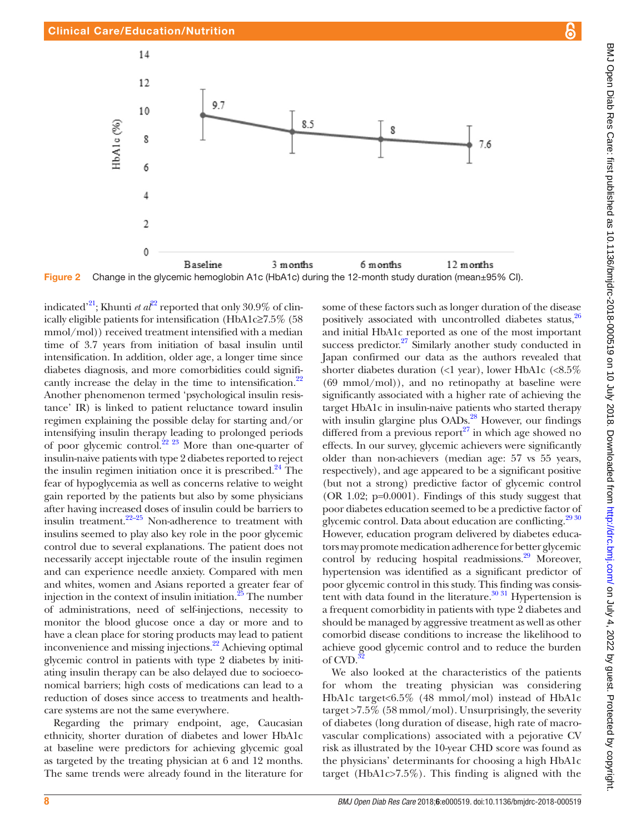

<span id="page-7-0"></span>indicated<sup> $21$ </sup>; Khunti *et al*<sup>22</sup> reported that only 30.9% of clinically eligible patients for intensification (HbA1c≥7.5% (58 mmol/mol)) received treatment intensified with a median time of 3.7 years from initiation of basal insulin until intensification. In addition, older age, a longer time since diabetes diagnosis, and more comorbidities could significantly increase the delay in the time to intensification. $2^2$ Another phenomenon termed 'psychological insulin resistance' IR) is linked to patient reluctance toward insulin regimen explaining the possible delay for starting and/or intensifying insulin therapy leading to prolonged periods of poor glycemic control.<sup>22 23</sup> More than one-quarter of insulin-naive patients with type 2 diabetes reported to reject the insulin regimen initiation once it is prescribed. $^{24}$  The fear of hypoglycemia as well as concerns relative to weight gain reported by the patients but also by some physicians after having increased doses of insulin could be barriers to insulin treatment[.22–25](#page-9-17) Non-adherence to treatment with insulins seemed to play also key role in the poor glycemic control due to several explanations. The patient does not necessarily accept injectable route of the insulin regimen and can experience needle anxiety. Compared with men and whites, women and Asians reported a greater fear of injection in the context of insulin initiation.<sup>[25](#page-9-19)</sup> The number of administrations, need of self-injections, necessity to monitor the blood glucose once a day or more and to have a clean place for storing products may lead to patient inconvenience and missing injections[.22](#page-9-17) Achieving optimal glycemic control in patients with type 2 diabetes by initiating insulin therapy can be also delayed due to socioeconomical barriers; high costs of medications can lead to a reduction of doses since access to treatments and healthcare systems are not the same everywhere.

Regarding the primary endpoint, age, Caucasian ethnicity, shorter duration of diabetes and lower HbA1c at baseline were predictors for achieving glycemic goal as targeted by the treating physician at 6 and 12 months. The same trends were already found in the literature for some of these factors such as longer duration of the disease positively associated with uncontrolled diabetes status,<sup>26</sup> and initial HbA1c reported as one of the most important success predictor.<sup>[27](#page-9-21)</sup> Similarly another study conducted in Japan confirmed our data as the authors revealed that shorter diabetes duration  $\langle$ <1 year), lower HbA1c  $\langle$ <8.5% (69 mmol/mol)), and no retinopathy at baseline were significantly associated with a higher rate of achieving the target HbA1c in insulin-naive patients who started therapy with insulin glargine plus  $OADs<sup>28</sup>$  $OADs<sup>28</sup>$  $OADs<sup>28</sup>$  However, our findings differed from a previous report<sup>27</sup> in which age showed no effects. In our survey, glycemic achievers were significantly older than non-achievers (median age: 57 vs 55 years, respectively), and age appeared to be a significant positive (but not a strong) predictive factor of glycemic control (OR 1.02; p=0.0001). Findings of this study suggest that poor diabetes education seemed to be a predictive factor of glycemic control. Data about education are conflicting.<sup>29 30</sup> However, education program delivered by diabetes educators may promote medication adherence for better glycemic control by reducing hospital readmissions.<sup>29</sup> Moreover, hypertension was identified as a significant predictor of poor glycemic control in this study. This finding was consistent with data found in the literature. $30\,31$  Hypertension is a frequent comorbidity in patients with type 2 diabetes and should be managed by aggressive treatment as well as other comorbid disease conditions to increase the likelihood to achieve good glycemic control and to reduce the burden of  $CVD$ .<sup>3</sup>

We also looked at the characteristics of the patients for whom the treating physician was considering HbA1c target<6.5% (48 mmol/mol) instead of HbA1c target >7.5% (58 mmol/mol). Unsurprisingly, the severity of diabetes (long duration of disease, high rate of macrovascular complications) associated with a pejorative CV risk as illustrated by the 10-year CHD score was found as the physicians' determinants for choosing a high HbA1c target (HbA1c>7.5%). This finding is aligned with the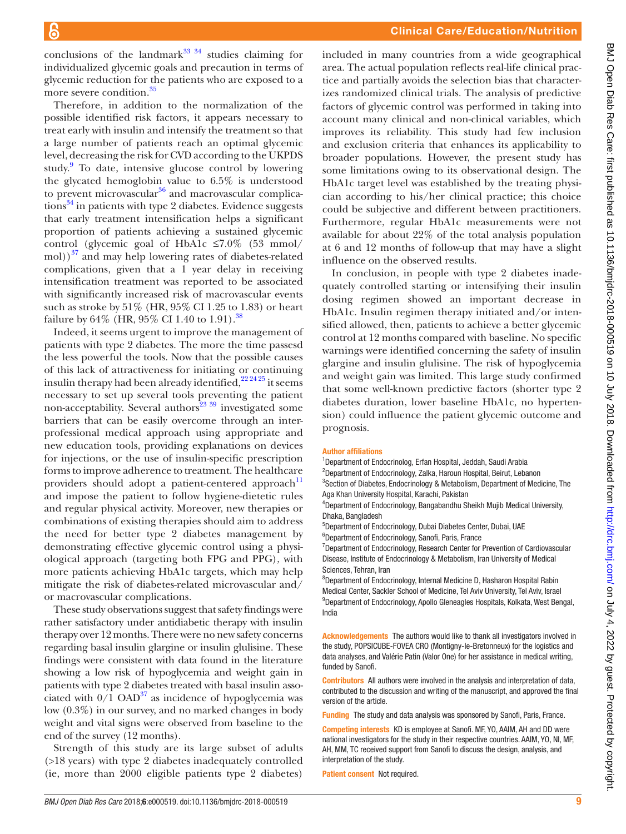conclusions of the landmark $33 \frac{34}{15}$  studies claiming for individualized glycemic goals and precaution in terms of glycemic reduction for the patients who are exposed to a more severe condition.<sup>35</sup>

Therefore, in addition to the normalization of the possible identified risk factors, it appears necessary to treat early with insulin and intensify the treatment so that a large number of patients reach an optimal glycemic level, decreasing the risk for CVD according to the UKPDS study.<sup>[9](#page-9-8)</sup> To date, intensive glucose control by lowering the glycated hemoglobin value to 6.5% is understood to prevent microvascular $36$  and macrovascular complica $tions<sup>34</sup>$  in patients with type 2 diabetes. Evidence suggests that early treatment intensification helps a significant proportion of patients achieving a sustained glycemic control (glycemic goal of HbA1c  $\leq 7.0\%$  (53 mmol/ mol)) $^{37}$  and may help lowering rates of diabetes-related complications, given that a 1 year delay in receiving intensification treatment was reported to be associated with significantly increased risk of macrovascular events such as stroke by 51% (HR, 95% CI 1.25 to 1.83) or heart failure by  $64\%$  (HR,  $95\%$  CI 1.40 to 1.91).<sup>38</sup>

Indeed, it seems urgent to improve the management of patients with type 2 diabetes. The more the time passesd the less powerful the tools. Now that the possible causes of this lack of attractiveness for initiating or continuing insulin therapy had been already identified,  $22425$  it seems necessary to set up several tools preventing the patient non-acceptability. Several authors<sup>23</sup> 39 investigated some barriers that can be easily overcome through an interprofessional medical approach using appropriate and new education tools, providing explanations on devices for injections, or the use of insulin-specific prescription forms to improve adherence to treatment. The healthcare providers should adopt a patient-centered approach<sup>11</sup> and impose the patient to follow hygiene-dietetic rules and regular physical activity. Moreover, new therapies or combinations of existing therapies should aim to address the need for better type 2 diabetes management by demonstrating effective glycemic control using a physiological approach (targeting both FPG and PPG), with more patients achieving HbA1c targets, which may help mitigate the risk of diabetes-related microvascular and/ or macrovascular complications.

These study observations suggest that safety findings were rather satisfactory under antidiabetic therapy with insulin therapy over 12 months. There were no new safety concerns regarding basal insulin glargine or insulin glulisine. These findings were consistent with data found in the literature showing a low risk of hypoglycemia and weight gain in patients with type 2 diabetes treated with basal insulin associated with  $0/1$  OAD<sup>37</sup> as incidence of hypoglycemia was low (0.3%) in our survey, and no marked changes in body weight and vital signs were observed from baseline to the end of the survey (12 months).

Strength of this study are its large subset of adults (>18 years) with type 2 diabetes inadequately controlled (ie, more than 2000 eligible patients type 2 diabetes)

included in many countries from a wide geographical area. The actual population reflects real-life clinical practice and partially avoids the selection bias that characterizes randomized clinical trials. The analysis of predictive factors of glycemic control was performed in taking into account many clinical and non-clinical variables, which improves its reliability. This study had few inclusion and exclusion criteria that enhances its applicability to broader populations. However, the present study has some limitations owing to its observational design. The HbA1c target level was established by the treating physician according to his/her clinical practice; this choice could be subjective and different between practitioners. Furthermore, regular HbA1c measurements were not available for about 22% of the total analysis population at 6 and 12 months of follow-up that may have a slight influence on the observed results.

In conclusion, in people with type 2 diabetes inadequately controlled starting or intensifying their insulin dosing regimen showed an important decrease in HbA1c. Insulin regimen therapy initiated and/or intensified allowed, then, patients to achieve a better glycemic control at 12 months compared with baseline. No specific warnings were identified concerning the safety of insulin glargine and insulin glulisine. The risk of hypoglycemia and weight gain was limited. This large study confirmed that some well-known predictive factors (shorter type 2 diabetes duration, lower baseline HbA1c, no hypertension) could influence the patient glycemic outcome and prognosis.

#### Author affiliations

<sup>1</sup>Department of Endocrinolog, Erfan Hospital, Jeddah, Saudi Arabia 2 Department of Endocrinology, Zalka, Haroun Hospital, Beirut, Lebanon <sup>3</sup>Section of Diabetes, Endocrinology & Metabolism, Department of Medicine, The Aga Khan University Hospital, Karachi, Pakistan 4 Department of Endocrinology, Bangabandhu Sheikh Mujib Medical University, Dhaka, Bangladesh

5 Department of Endocrinology, Dubai Diabetes Center, Dubai, UAE 6 Department of Endocrinology, Sanofi, Paris, France

<sup>7</sup>Department of Endocrinology, Research Center for Prevention of Cardiovascular Disease, Institute of Endocrinology & Metabolism, Iran University of Medical Sciences, Tehran, Iran

8 Department of Endocrinology, Internal Medicine D, Hasharon Hospital Rabin Medical Center, Sackler School of Medicine, Tel Aviv University, Tel Aviv, Israel <sup>9</sup>Department of Endocrinology, Apollo Gleneagles Hospitals, Kolkata, West Bengal, India

Acknowledgements The authors would like to thank all investigators involved in the study, POPSICUBE-FOVEA CRO (Montigny-le-Bretonneux) for the logistics and data analyses, and Valérie Patin (Valor One) for her assistance in medical writing, funded by Sanofi.

Contributors All authors were involved in the analysis and interpretation of data, contributed to the discussion and writing of the manuscript, and approved the final version of the article.

Funding The study and data analysis was sponsored by Sanofi, Paris, France.

Competing interests KD is employee at Sanofi. MF, YO, AAIM, AH and DD were national investigators for the study in their respective countries. AAIM, YO, NI, MF, AH, MM, TC received support from Sanofi to discuss the design, analysis, and interpretation of the study.

Patient consent Not required.